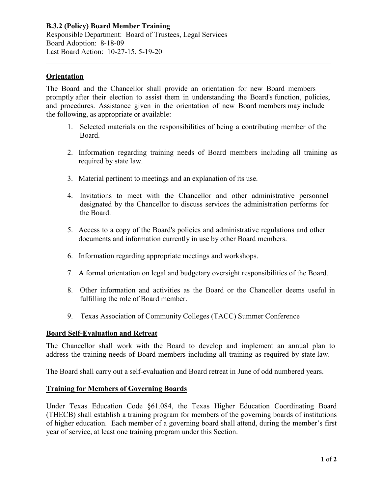**B.3.2 (Policy) Board Member Training** Responsible Department: Board of Trustees, Legal Services Board Adoption: 8-18-09 Last Board Action: 10-27-15, 5-19-20

## **Orientation**

The Board and the Chancellor shall provide an orientation for new Board members promptly after their election to assist them in understanding the Board's function, policies, and procedures. Assistance given in the orientation of new Board members may include the following, as appropriate or available:

\_\_\_\_\_\_\_\_\_\_\_\_\_\_\_\_\_\_\_\_\_\_\_\_\_\_\_\_\_\_\_\_\_\_\_\_\_\_\_\_\_\_\_\_\_\_\_\_\_\_\_\_\_\_\_\_\_\_\_\_\_\_\_\_\_\_\_\_\_\_\_\_\_\_\_\_

- 1. Selected materials on the responsibilities of being a contributing member of the Board.
- 2. Information regarding training needs of Board members including all training as required by state law.
- 3. Material pertinent to meetings and an explanation of its use.
- 4. Invitations to meet with the Chancellor and other administrative personnel designated by the Chancellor to discuss services the administration performs for the Board.
- 5. Access to a copy of the Board's policies and administrative regulations and other documents and information currently in use by other Board members.
- 6. Information regarding appropriate meetings and workshops.
- 7. A formal orientation on legal and budgetary oversight responsibilities of the Board.
- 8. Other information and activities as the Board or the Chancellor deems useful in fulfilling the role of Board member.
- 9. Texas Association of Community Colleges (TACC) Summer Conference

## **Board Self-Evaluation and Retreat**

The Chancellor shall work with the Board to develop and implement an annual plan to address the training needs of Board members including all training as required by state law.

The Board shall carry out a self-evaluation and Board retreat in June of odd numbered years.

## **Training for Members of Governing Boards**

Under Texas Education Code §61.084, the Texas Higher Education Coordinating Board (THECB) shall establish a training program for members of the governing boards of institutions of higher education. Each member of a governing board shall attend, during the member's first year of service, at least one training program under this Section.